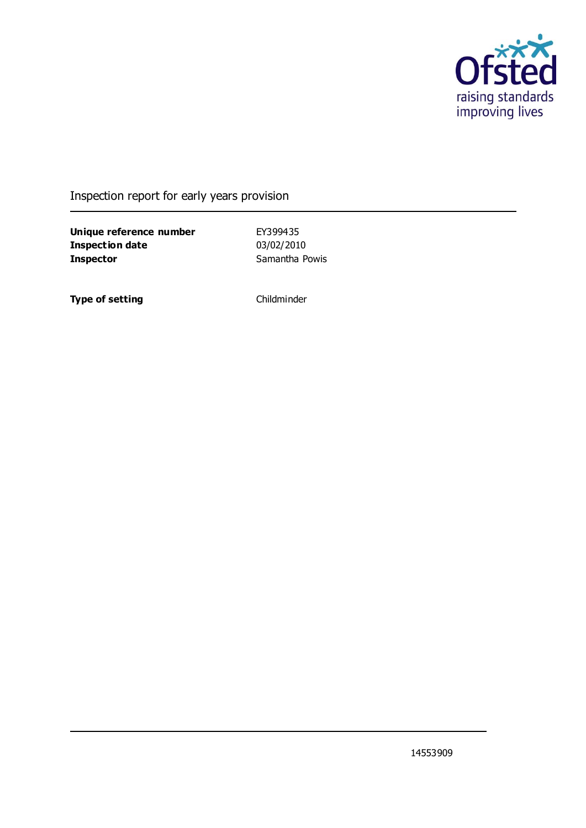

### Inspection report for early years provision

**Unique reference number** EY399435 **Inspection date** 03/02/2010 **Inspector** Samantha Powis

**Type of setting** Childminder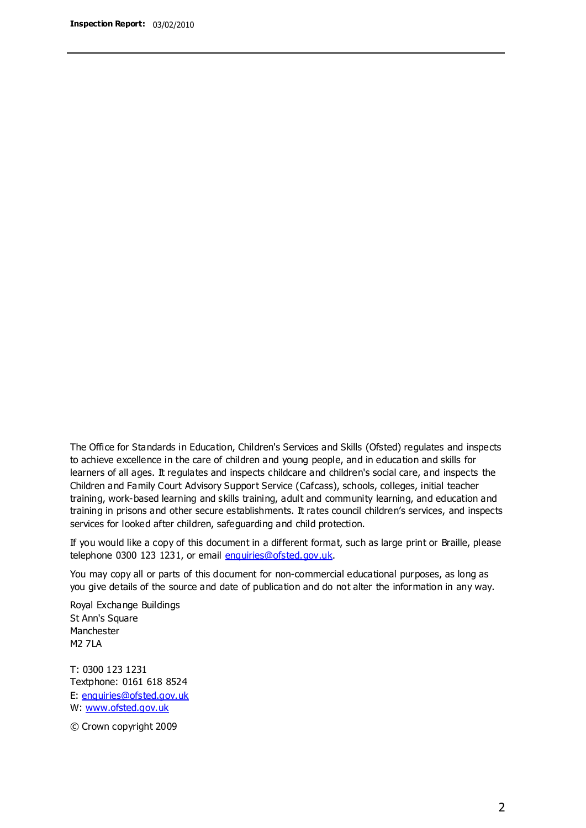The Office for Standards in Education, Children's Services and Skills (Ofsted) regulates and inspects to achieve excellence in the care of children and young people, and in education and skills for learners of all ages. It regulates and inspects childcare and children's social care, and inspects the Children and Family Court Advisory Support Service (Cafcass), schools, colleges, initial teacher training, work-based learning and skills training, adult and community learning, and education and training in prisons and other secure establishments. It rates council children's services, and inspects services for looked after children, safeguarding and child protection.

If you would like a copy of this document in a different format, such as large print or Braille, please telephone 0300 123 1231, or email enquiries@ofsted.gov.uk.

You may copy all or parts of this document for non-commercial educational purposes, as long as you give details of the source and date of publication and do not alter the information in any way.

Royal Exchange Buildings St Ann's Square Manchester M2 7LA

T: 0300 123 1231 Textphone: 0161 618 8524 E: enquiries@ofsted.gov.uk W: [www.ofsted.gov.uk](http://www.ofsted.gov.uk/)

© Crown copyright 2009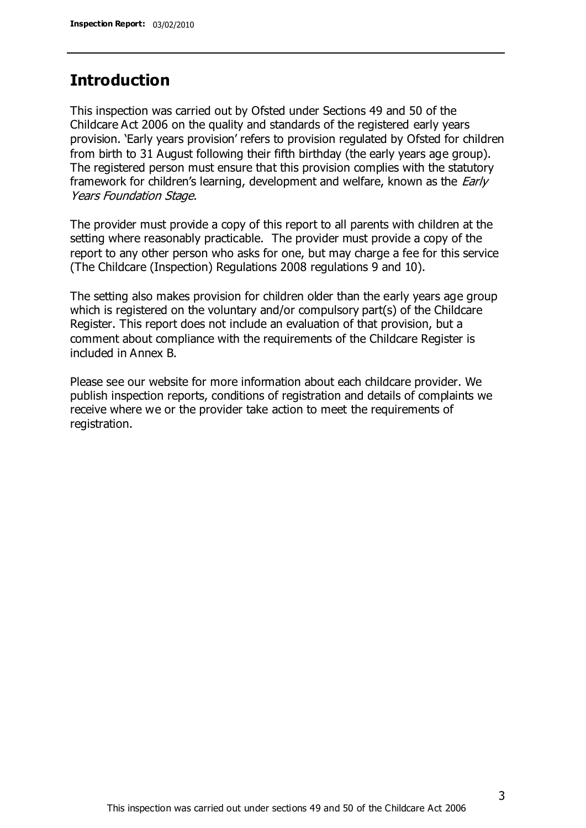## **Introduction**

This inspection was carried out by Ofsted under Sections 49 and 50 of the Childcare Act 2006 on the quality and standards of the registered early years provision. 'Early years provision' refers to provision regulated by Ofsted for children from birth to 31 August following their fifth birthday (the early years age group). The registered person must ensure that this provision complies with the statutory framework for children's learning, development and welfare, known as the *Early* Years Foundation Stage.

The provider must provide a copy of this report to all parents with children at the setting where reasonably practicable. The provider must provide a copy of the report to any other person who asks for one, but may charge a fee for this service (The Childcare (Inspection) Regulations 2008 regulations 9 and 10).

The setting also makes provision for children older than the early years age group which is registered on the voluntary and/or compulsory part(s) of the Childcare Register. This report does not include an evaluation of that provision, but a comment about compliance with the requirements of the Childcare Register is included in Annex B.

Please see our website for more information about each childcare provider. We publish inspection reports, conditions of registration and details of complaints we receive where we or the provider take action to meet the requirements of registration.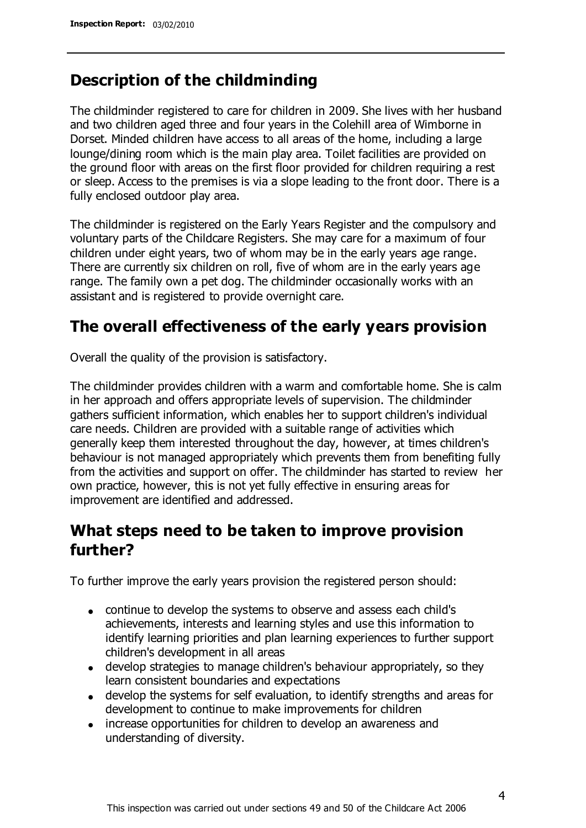## **Description of the childminding**

The childminder registered to care for children in 2009. She lives with her husband and two children aged three and four years in the Colehill area of Wimborne in Dorset. Minded children have access to all areas of the home, including a large lounge/dining room which is the main play area. Toilet facilities are provided on the ground floor with areas on the first floor provided for children requiring a rest or sleep. Access to the premises is via a slope leading to the front door. There is a fully enclosed outdoor play area.

The childminder is registered on the Early Years Register and the compulsory and voluntary parts of the Childcare Registers. She may care for a maximum of four children under eight years, two of whom may be in the early years age range. There are currently six children on roll, five of whom are in the early years age range. The family own a pet dog. The childminder occasionally works with an assistant and is registered to provide overnight care.

## **The overall effectiveness of the early years provision**

Overall the quality of the provision is satisfactory.

The childminder provides children with a warm and comfortable home. She is calm in her approach and offers appropriate levels of supervision. The childminder gathers sufficient information, which enables her to support children's individual care needs. Children are provided with a suitable range of activities which generally keep them interested throughout the day, however, at times children's behaviour is not managed appropriately which prevents them from benefiting fully from the activities and support on offer. The childminder has started to review her own practice, however, this is not yet fully effective in ensuring areas for improvement are identified and addressed.

## **What steps need to be taken to improve provision further?**

To further improve the early years provision the registered person should:

- continue to develop the systems to observe and assess each child's achievements, interests and learning styles and use this information to identify learning priorities and plan learning experiences to further support children's development in all areas
- develop strategies to manage children's behaviour appropriately, so they learn consistent boundaries and expectations
- develop the systems for self evaluation, to identify strengths and areas for development to continue to make improvements for children
- increase opportunities for children to develop an awareness and understanding of diversity.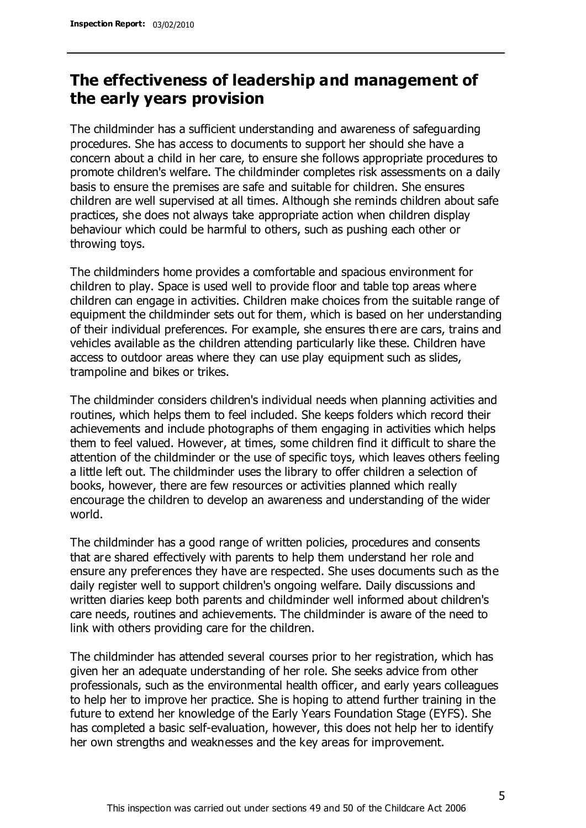## **The effectiveness of leadership and management of the early years provision**

The childminder has a sufficient understanding and awareness of safeguarding procedures. She has access to documents to support her should she have a concern about a child in her care, to ensure she follows appropriate procedures to promote children's welfare. The childminder completes risk assessments on a daily basis to ensure the premises are safe and suitable for children. She ensures children are well supervised at all times. Although she reminds children about safe practices, she does not always take appropriate action when children display behaviour which could be harmful to others, such as pushing each other or throwing toys.

The childminders home provides a comfortable and spacious environment for children to play. Space is used well to provide floor and table top areas where children can engage in activities. Children make choices from the suitable range of equipment the childminder sets out for them, which is based on her understanding of their individual preferences. For example, she ensures there are cars, trains and vehicles available as the children attending particularly like these. Children have access to outdoor areas where they can use play equipment such as slides, trampoline and bikes or trikes.

The childminder considers children's individual needs when planning activities and routines, which helps them to feel included. She keeps folders which record their achievements and include photographs of them engaging in activities which helps them to feel valued. However, at times, some children find it difficult to share the attention of the childminder or the use of specific toys, which leaves others feeling a little left out. The childminder uses the library to offer children a selection of books, however, there are few resources or activities planned which really encourage the children to develop an awareness and understanding of the wider world.

The childminder has a good range of written policies, procedures and consents that are shared effectively with parents to help them understand her role and ensure any preferences they have are respected. She uses documents such as the daily register well to support children's ongoing welfare. Daily discussions and written diaries keep both parents and childminder well informed about children's care needs, routines and achievements. The childminder is aware of the need to link with others providing care for the children.

The childminder has attended several courses prior to her registration, which has given her an adequate understanding of her role. She seeks advice from other professionals, such as the environmental health officer, and early years colleagues to help her to improve her practice. She is hoping to attend further training in the future to extend her knowledge of the Early Years Foundation Stage (EYFS). She has completed a basic self-evaluation, however, this does not help her to identify her own strengths and weaknesses and the key areas for improvement.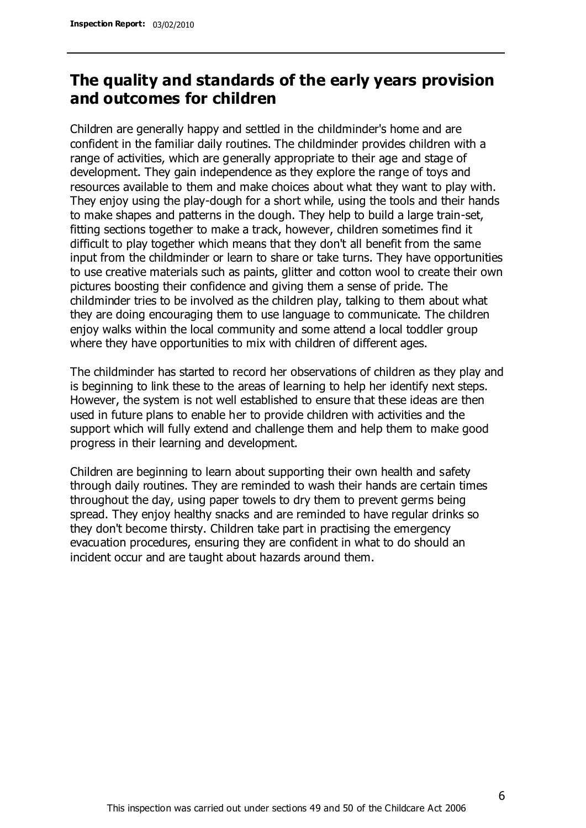## **The quality and standards of the early years provision and outcomes for children**

Children are generally happy and settled in the childminder's home and are confident in the familiar daily routines. The childminder provides children with a range of activities, which are generally appropriate to their age and stage of development. They gain independence as they explore the range of toys and resources available to them and make choices about what they want to play with. They enjoy using the play-dough for a short while, using the tools and their hands to make shapes and patterns in the dough. They help to build a large train-set, fitting sections together to make a track, however, children sometimes find it difficult to play together which means that they don't all benefit from the same input from the childminder or learn to share or take turns. They have opportunities to use creative materials such as paints, glitter and cotton wool to create their own pictures boosting their confidence and giving them a sense of pride. The childminder tries to be involved as the children play, talking to them about what they are doing encouraging them to use language to communicate. The children enjoy walks within the local community and some attend a local toddler group where they have opportunities to mix with children of different ages.

The childminder has started to record her observations of children as they play and is beginning to link these to the areas of learning to help her identify next steps. However, the system is not well established to ensure that these ideas are then used in future plans to enable her to provide children with activities and the support which will fully extend and challenge them and help them to make good progress in their learning and development.

Children are beginning to learn about supporting their own health and safety through daily routines. They are reminded to wash their hands are certain times throughout the day, using paper towels to dry them to prevent germs being spread. They enjoy healthy snacks and are reminded to have regular drinks so they don't become thirsty. Children take part in practising the emergency evacuation procedures, ensuring they are confident in what to do should an incident occur and are taught about hazards around them.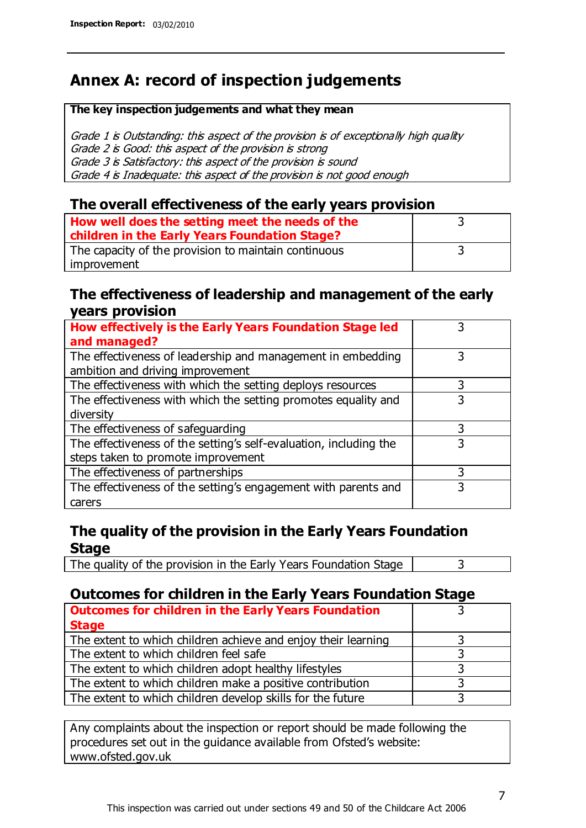## **Annex A: record of inspection judgements**

#### **The key inspection judgements and what they mean**

Grade 1 is Outstanding: this aspect of the provision is of exceptionally high quality Grade 2 is Good: this aspect of the provision is strong Grade 3 is Satisfactory: this aspect of the provision is sound Grade 4 is Inadequate: this aspect of the provision is not good enough

#### **The overall effectiveness of the early years provision**

| How well does the setting meet the needs of the<br>children in the Early Years Foundation Stage? |  |
|--------------------------------------------------------------------------------------------------|--|
|                                                                                                  |  |
| The capacity of the provision to maintain continuous                                             |  |
| improvement                                                                                      |  |

#### **The effectiveness of leadership and management of the early years provision**

| How effectively is the Early Years Foundation Stage led                                         |   |
|-------------------------------------------------------------------------------------------------|---|
| and managed?                                                                                    |   |
| The effectiveness of leadership and management in embedding<br>ambition and driving improvement | 3 |
|                                                                                                 |   |
| The effectiveness with which the setting deploys resources                                      | 3 |
| The effectiveness with which the setting promotes equality and                                  | 3 |
| diversity                                                                                       |   |
| The effectiveness of safeguarding                                                               | 3 |
| The effectiveness of the setting's self-evaluation, including the                               | 3 |
| steps taken to promote improvement                                                              |   |
| The effectiveness of partnerships                                                               | 3 |
| The effectiveness of the setting's engagement with parents and                                  |   |
| carers                                                                                          |   |

### **The quality of the provision in the Early Years Foundation Stage**

The quality of the provision in the Early Years Foundation Stage  $\vert$  3

### **Outcomes for children in the Early Years Foundation Stage**

| <b>Outcomes for children in the Early Years Foundation</b>    |  |
|---------------------------------------------------------------|--|
| <b>Stage</b>                                                  |  |
| The extent to which children achieve and enjoy their learning |  |
| The extent to which children feel safe                        |  |
| The extent to which children adopt healthy lifestyles         |  |
| The extent to which children make a positive contribution     |  |
| The extent to which children develop skills for the future    |  |

Any complaints about the inspection or report should be made following the procedures set out in the guidance available from Ofsted's website: www.ofsted.gov.uk